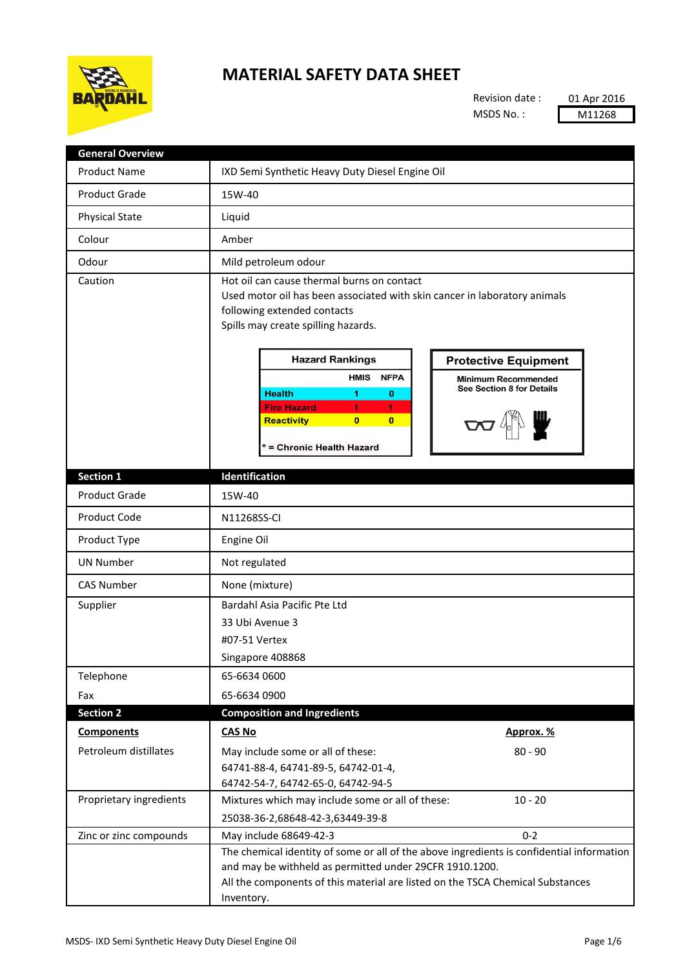

## **MATERIAL SAFETY DATA SHEET**

Revision date : MSDS No. :

01 Apr 2016 M11268

| <b>General Overview</b> |                                                                                                                                                                                                                                                                                                                                                                                                                                                                                              |
|-------------------------|----------------------------------------------------------------------------------------------------------------------------------------------------------------------------------------------------------------------------------------------------------------------------------------------------------------------------------------------------------------------------------------------------------------------------------------------------------------------------------------------|
| <b>Product Name</b>     | IXD Semi Synthetic Heavy Duty Diesel Engine Oil                                                                                                                                                                                                                                                                                                                                                                                                                                              |
| <b>Product Grade</b>    | 15W-40                                                                                                                                                                                                                                                                                                                                                                                                                                                                                       |
| <b>Physical State</b>   | Liquid                                                                                                                                                                                                                                                                                                                                                                                                                                                                                       |
| Colour                  | Amber                                                                                                                                                                                                                                                                                                                                                                                                                                                                                        |
| Odour                   | Mild petroleum odour                                                                                                                                                                                                                                                                                                                                                                                                                                                                         |
| Caution                 | Hot oil can cause thermal burns on contact<br>Used motor oil has been associated with skin cancer in laboratory animals<br>following extended contacts<br>Spills may create spilling hazards.<br><b>Hazard Rankings</b><br><b>Protective Equipment</b><br><b>HMIS</b><br><b>NFPA</b><br><b>Minimum Recommended</b><br>See Section 8 for Details<br><b>Health</b><br>1<br>$\bf o$<br><b>Fire Hazard</b><br>1.<br>1.<br><b>Reactivity</b><br>$\bf{0}$<br>$\bf{0}$<br>* = Chronic Health Hazard |
| <b>Section 1</b>        | Identification                                                                                                                                                                                                                                                                                                                                                                                                                                                                               |
| <b>Product Grade</b>    | 15W-40                                                                                                                                                                                                                                                                                                                                                                                                                                                                                       |
| Product Code            | N11268SS-CI                                                                                                                                                                                                                                                                                                                                                                                                                                                                                  |
| Product Type            | Engine Oil                                                                                                                                                                                                                                                                                                                                                                                                                                                                                   |
| <b>UN Number</b>        | Not regulated                                                                                                                                                                                                                                                                                                                                                                                                                                                                                |
| <b>CAS Number</b>       | None (mixture)                                                                                                                                                                                                                                                                                                                                                                                                                                                                               |
| Supplier                | Bardahl Asia Pacific Pte Ltd<br>33 Ubi Avenue 3<br>#07-51 Vertex<br>Singapore 408868                                                                                                                                                                                                                                                                                                                                                                                                         |
| Telephone               | 65-6634 0600                                                                                                                                                                                                                                                                                                                                                                                                                                                                                 |
| Fax                     | 65-6634 0900                                                                                                                                                                                                                                                                                                                                                                                                                                                                                 |
| <b>Section 2</b>        | <b>Composition and Ingredients</b>                                                                                                                                                                                                                                                                                                                                                                                                                                                           |
| <b>Components</b>       | <b>CAS No</b><br>Approx. %                                                                                                                                                                                                                                                                                                                                                                                                                                                                   |
| Petroleum distillates   | May include some or all of these:<br>$80 - 90$<br>64741-88-4, 64741-89-5, 64742-01-4,<br>64742-54-7, 64742-65-0, 64742-94-5                                                                                                                                                                                                                                                                                                                                                                  |
| Proprietary ingredients | Mixtures which may include some or all of these:<br>$10 - 20$<br>25038-36-2,68648-42-3,63449-39-8                                                                                                                                                                                                                                                                                                                                                                                            |
| Zinc or zinc compounds  | $0 - 2$<br>May include 68649-42-3                                                                                                                                                                                                                                                                                                                                                                                                                                                            |
|                         | The chemical identity of some or all of the above ingredients is confidential information<br>and may be withheld as permitted under 29CFR 1910.1200.<br>All the components of this material are listed on the TSCA Chemical Substances<br>Inventory.                                                                                                                                                                                                                                         |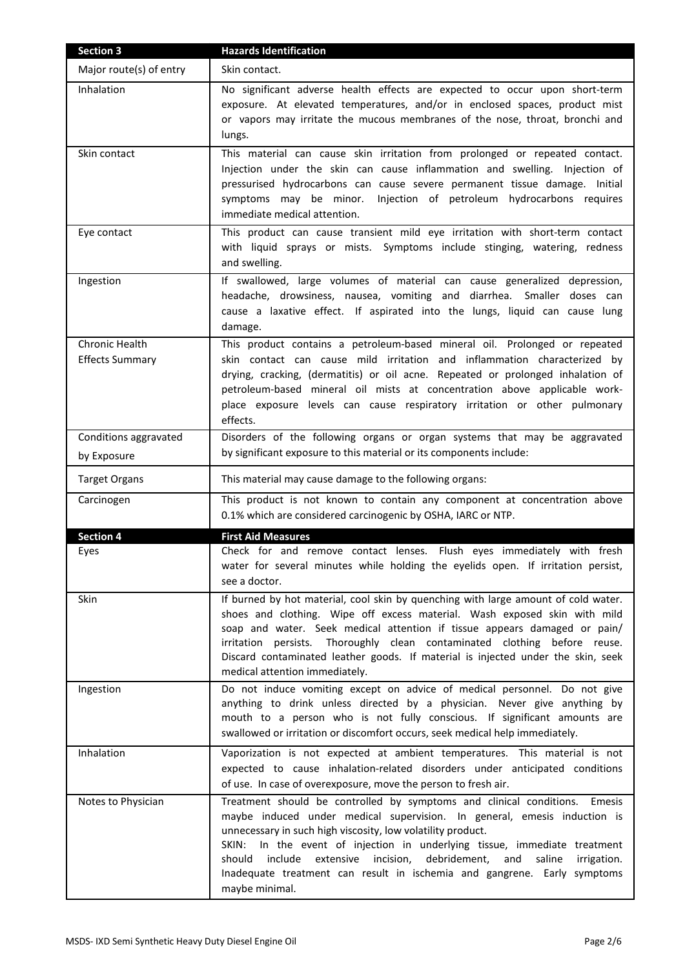| Section 3                                | <b>Hazards Identification</b>                                                                                                                                                                                                                                                                                                                                                                                                                                                                      |
|------------------------------------------|----------------------------------------------------------------------------------------------------------------------------------------------------------------------------------------------------------------------------------------------------------------------------------------------------------------------------------------------------------------------------------------------------------------------------------------------------------------------------------------------------|
| Major route(s) of entry                  | Skin contact.                                                                                                                                                                                                                                                                                                                                                                                                                                                                                      |
| Inhalation                               | No significant adverse health effects are expected to occur upon short-term<br>exposure. At elevated temperatures, and/or in enclosed spaces, product mist<br>or vapors may irritate the mucous membranes of the nose, throat, bronchi and<br>lungs.                                                                                                                                                                                                                                               |
| Skin contact                             | This material can cause skin irritation from prolonged or repeated contact.<br>Injection under the skin can cause inflammation and swelling. Injection of<br>pressurised hydrocarbons can cause severe permanent tissue damage. Initial<br>symptoms may be minor. Injection of petroleum hydrocarbons requires<br>immediate medical attention.                                                                                                                                                     |
| Eye contact                              | This product can cause transient mild eye irritation with short-term contact<br>with liquid sprays or mists. Symptoms include stinging, watering, redness<br>and swelling.                                                                                                                                                                                                                                                                                                                         |
| Ingestion                                | If swallowed, large volumes of material can cause generalized depression,<br>headache, drowsiness, nausea, vomiting and diarrhea. Smaller doses can<br>cause a laxative effect. If aspirated into the lungs, liquid can cause lung<br>damage.                                                                                                                                                                                                                                                      |
| Chronic Health<br><b>Effects Summary</b> | This product contains a petroleum-based mineral oil. Prolonged or repeated<br>skin contact can cause mild irritation and inflammation characterized by<br>drying, cracking, (dermatitis) or oil acne. Repeated or prolonged inhalation of<br>petroleum-based mineral oil mists at concentration above applicable work-<br>place exposure levels can cause respiratory irritation or other pulmonary<br>effects.                                                                                    |
| Conditions aggravated                    | Disorders of the following organs or organ systems that may be aggravated<br>by significant exposure to this material or its components include:                                                                                                                                                                                                                                                                                                                                                   |
| by Exposure                              |                                                                                                                                                                                                                                                                                                                                                                                                                                                                                                    |
| <b>Target Organs</b>                     | This material may cause damage to the following organs:                                                                                                                                                                                                                                                                                                                                                                                                                                            |
| Carcinogen                               | This product is not known to contain any component at concentration above<br>0.1% which are considered carcinogenic by OSHA, IARC or NTP.                                                                                                                                                                                                                                                                                                                                                          |
| <b>Section 4</b>                         | <b>First Aid Measures</b>                                                                                                                                                                                                                                                                                                                                                                                                                                                                          |
| Eyes                                     | Check for and remove contact lenses. Flush eyes immediately with fresh<br>water for several minutes while holding the eyelids open. If irritation persist,<br>see a doctor.                                                                                                                                                                                                                                                                                                                        |
| Skin                                     | If burned by hot material, cool skin by quenching with large amount of cold water.<br>shoes and clothing. Wipe off excess material. Wash exposed skin with mild<br>soap and water. Seek medical attention if tissue appears damaged or pain/<br>irritation persists. Thoroughly clean contaminated clothing before reuse.<br>Discard contaminated leather goods. If material is injected under the skin, seek<br>medical attention immediately.                                                    |
| Ingestion                                | Do not induce vomiting except on advice of medical personnel. Do not give<br>anything to drink unless directed by a physician. Never give anything by<br>mouth to a person who is not fully conscious. If significant amounts are<br>swallowed or irritation or discomfort occurs, seek medical help immediately.                                                                                                                                                                                  |
| Inhalation                               | Vaporization is not expected at ambient temperatures. This material is not<br>expected to cause inhalation-related disorders under anticipated conditions<br>of use. In case of overexposure, move the person to fresh air.                                                                                                                                                                                                                                                                        |
| Notes to Physician                       | Treatment should be controlled by symptoms and clinical conditions.<br>Emesis<br>maybe induced under medical supervision. In general, emesis induction is<br>unnecessary in such high viscosity, low volatility product.<br>In the event of injection in underlying tissue, immediate treatment<br>SKIN:<br>extensive incision,<br>debridement,<br>and<br>should<br>include<br>saline<br>irrigation.<br>Inadequate treatment can result in ischemia and gangrene. Early symptoms<br>maybe minimal. |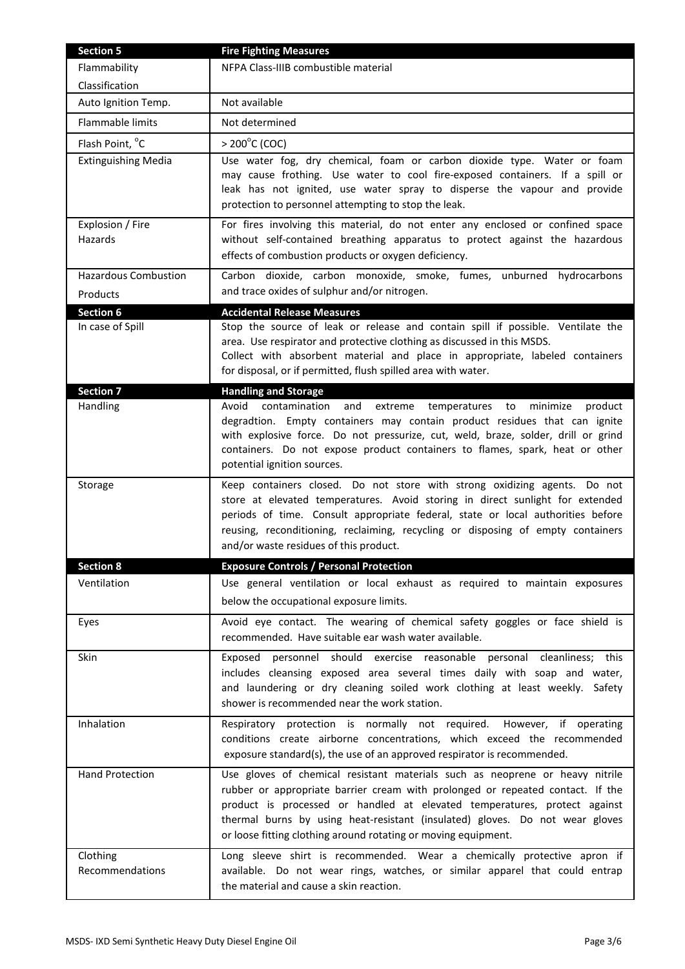| <b>Section 5</b>                        | <b>Fire Fighting Measures</b>                                                                                                                                                                                                                                                                                                                                                                 |
|-----------------------------------------|-----------------------------------------------------------------------------------------------------------------------------------------------------------------------------------------------------------------------------------------------------------------------------------------------------------------------------------------------------------------------------------------------|
| Flammability                            | NFPA Class-IIIB combustible material                                                                                                                                                                                                                                                                                                                                                          |
| Classification                          |                                                                                                                                                                                                                                                                                                                                                                                               |
| Auto Ignition Temp.                     | Not available                                                                                                                                                                                                                                                                                                                                                                                 |
| Flammable limits                        | Not determined                                                                                                                                                                                                                                                                                                                                                                                |
| Flash Point, °C                         | $> 200^{\circ}$ C (COC)                                                                                                                                                                                                                                                                                                                                                                       |
| <b>Extinguishing Media</b>              | Use water fog, dry chemical, foam or carbon dioxide type. Water or foam<br>may cause frothing. Use water to cool fire-exposed containers. If a spill or<br>leak has not ignited, use water spray to disperse the vapour and provide<br>protection to personnel attempting to stop the leak.                                                                                                   |
| Explosion / Fire<br>Hazards             | For fires involving this material, do not enter any enclosed or confined space<br>without self-contained breathing apparatus to protect against the hazardous<br>effects of combustion products or oxygen deficiency.                                                                                                                                                                         |
| <b>Hazardous Combustion</b><br>Products | Carbon dioxide, carbon monoxide, smoke, fumes, unburned hydrocarbons<br>and trace oxides of sulphur and/or nitrogen.                                                                                                                                                                                                                                                                          |
| <b>Section 6</b>                        | <b>Accidental Release Measures</b>                                                                                                                                                                                                                                                                                                                                                            |
| In case of Spill                        | Stop the source of leak or release and contain spill if possible. Ventilate the<br>area. Use respirator and protective clothing as discussed in this MSDS.<br>Collect with absorbent material and place in appropriate, labeled containers<br>for disposal, or if permitted, flush spilled area with water.                                                                                   |
| <b>Section 7</b>                        | <b>Handling and Storage</b>                                                                                                                                                                                                                                                                                                                                                                   |
| Handling                                | Avoid<br>contamination<br>and<br>extreme temperatures to<br>minimize<br>product<br>degradtion. Empty containers may contain product residues that can ignite<br>with explosive force. Do not pressurize, cut, weld, braze, solder, drill or grind<br>containers. Do not expose product containers to flames, spark, heat or other<br>potential ignition sources.                              |
| Storage                                 | Keep containers closed. Do not store with strong oxidizing agents. Do not<br>store at elevated temperatures. Avoid storing in direct sunlight for extended<br>periods of time. Consult appropriate federal, state or local authorities before<br>reusing, reconditioning, reclaiming, recycling or disposing of empty containers<br>and/or waste residues of this product.                    |
| <b>Section 8</b>                        | <b>Exposure Controls / Personal Protection</b>                                                                                                                                                                                                                                                                                                                                                |
| Ventilation                             | Use general ventilation or local exhaust as required to maintain exposures<br>below the occupational exposure limits.                                                                                                                                                                                                                                                                         |
| Eyes                                    | Avoid eye contact. The wearing of chemical safety goggles or face shield is<br>recommended. Have suitable ear wash water available.                                                                                                                                                                                                                                                           |
| Skin                                    | personnel should exercise reasonable personal cleanliness; this<br>Exposed<br>includes cleansing exposed area several times daily with soap and water,<br>and laundering or dry cleaning soiled work clothing at least weekly. Safety<br>shower is recommended near the work station.                                                                                                         |
| Inhalation                              | Respiratory protection is normally not required. However, if operating<br>conditions create airborne concentrations, which exceed the recommended<br>exposure standard(s), the use of an approved respirator is recommended.                                                                                                                                                                  |
| <b>Hand Protection</b>                  | Use gloves of chemical resistant materials such as neoprene or heavy nitrile<br>rubber or appropriate barrier cream with prolonged or repeated contact. If the<br>product is processed or handled at elevated temperatures, protect against<br>thermal burns by using heat-resistant (insulated) gloves. Do not wear gloves<br>or loose fitting clothing around rotating or moving equipment. |
| Clothing<br>Recommendations             | Long sleeve shirt is recommended. Wear a chemically protective apron if<br>available. Do not wear rings, watches, or similar apparel that could entrap<br>the material and cause a skin reaction.                                                                                                                                                                                             |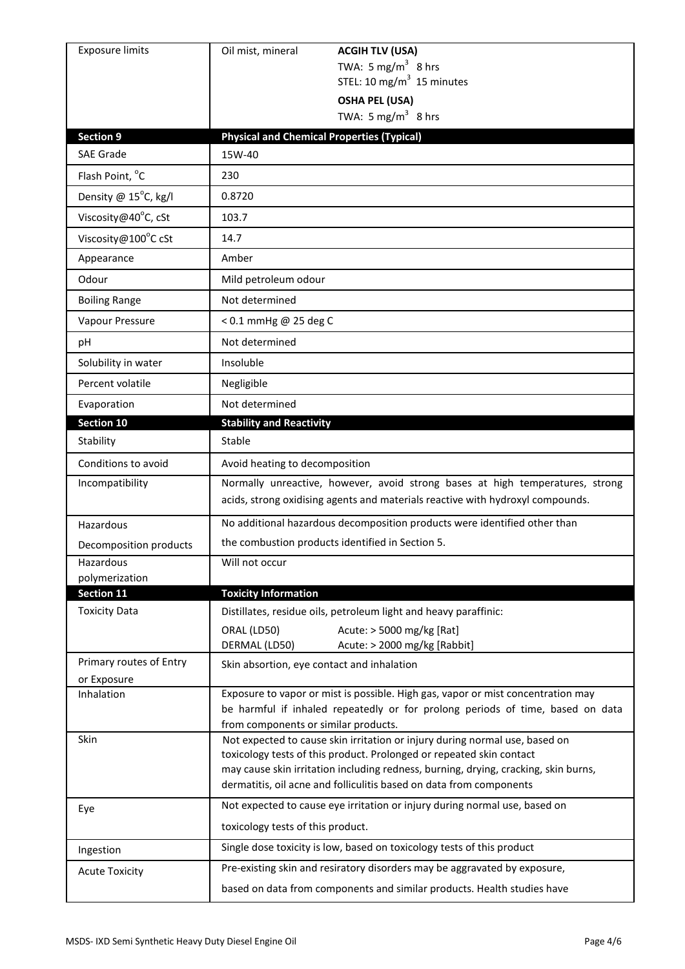| <b>Exposure limits</b>                 | Oil mist, mineral<br><b>ACGIH TLV (USA)</b>                                                                                                                                                                                                                                                                       |
|----------------------------------------|-------------------------------------------------------------------------------------------------------------------------------------------------------------------------------------------------------------------------------------------------------------------------------------------------------------------|
|                                        | TWA: 5 mg/m <sup>3</sup> 8 hrs                                                                                                                                                                                                                                                                                    |
|                                        | STEL: 10 mg/m $3$ 15 minutes                                                                                                                                                                                                                                                                                      |
|                                        | <b>OSHA PEL (USA)</b><br>TWA: 5 mg/m <sup>3</sup> 8 hrs                                                                                                                                                                                                                                                           |
|                                        |                                                                                                                                                                                                                                                                                                                   |
| <b>Section 9</b><br><b>SAE Grade</b>   | <b>Physical and Chemical Properties (Typical)</b><br>15W-40                                                                                                                                                                                                                                                       |
| Flash Point, °C                        | 230                                                                                                                                                                                                                                                                                                               |
|                                        |                                                                                                                                                                                                                                                                                                                   |
| Density @ 15°C, kg/l                   | 0.8720                                                                                                                                                                                                                                                                                                            |
| Viscosity@40°C, cSt                    | 103.7                                                                                                                                                                                                                                                                                                             |
| Viscosity@100°C cSt                    | 14.7                                                                                                                                                                                                                                                                                                              |
| Appearance                             | Amber                                                                                                                                                                                                                                                                                                             |
| Odour                                  | Mild petroleum odour                                                                                                                                                                                                                                                                                              |
| <b>Boiling Range</b>                   | Not determined                                                                                                                                                                                                                                                                                                    |
| Vapour Pressure                        | < 0.1 mmHg @ 25 deg C                                                                                                                                                                                                                                                                                             |
| рH                                     | Not determined                                                                                                                                                                                                                                                                                                    |
| Solubility in water                    | Insoluble                                                                                                                                                                                                                                                                                                         |
| Percent volatile                       | Negligible                                                                                                                                                                                                                                                                                                        |
| Evaporation                            | Not determined                                                                                                                                                                                                                                                                                                    |
| Section 10                             | <b>Stability and Reactivity</b>                                                                                                                                                                                                                                                                                   |
| Stability                              | Stable                                                                                                                                                                                                                                                                                                            |
| Conditions to avoid                    | Avoid heating to decomposition                                                                                                                                                                                                                                                                                    |
| Incompatibility                        | Normally unreactive, however, avoid strong bases at high temperatures, strong<br>acids, strong oxidising agents and materials reactive with hydroxyl compounds.                                                                                                                                                   |
| Hazardous                              | No additional hazardous decomposition products were identified other than                                                                                                                                                                                                                                         |
| Decomposition products                 | the combustion products identified in Section 5.                                                                                                                                                                                                                                                                  |
| Hazardous                              | Will not occur                                                                                                                                                                                                                                                                                                    |
| polymerization                         |                                                                                                                                                                                                                                                                                                                   |
| Section 11                             | <b>Toxicity Information</b>                                                                                                                                                                                                                                                                                       |
| <b>Toxicity Data</b>                   | Distillates, residue oils, petroleum light and heavy paraffinic:                                                                                                                                                                                                                                                  |
|                                        | Acute: > 5000 mg/kg [Rat]<br>ORAL (LD50)<br>DERMAL (LD50)<br>Acute: > 2000 mg/kg [Rabbit]                                                                                                                                                                                                                         |
| Primary routes of Entry<br>or Exposure | Skin absortion, eye contact and inhalation                                                                                                                                                                                                                                                                        |
| Inhalation                             | Exposure to vapor or mist is possible. High gas, vapor or mist concentration may<br>be harmful if inhaled repeatedly or for prolong periods of time, based on data<br>from components or similar products.                                                                                                        |
| Skin                                   | Not expected to cause skin irritation or injury during normal use, based on<br>toxicology tests of this product. Prolonged or repeated skin contact<br>may cause skin irritation including redness, burning, drying, cracking, skin burns,<br>dermatitis, oil acne and folliculitis based on data from components |
| Eye                                    | Not expected to cause eye irritation or injury during normal use, based on<br>toxicology tests of this product.                                                                                                                                                                                                   |
| Ingestion                              | Single dose toxicity is low, based on toxicology tests of this product                                                                                                                                                                                                                                            |
| <b>Acute Toxicity</b>                  | Pre-existing skin and resiratory disorders may be aggravated by exposure,                                                                                                                                                                                                                                         |
|                                        |                                                                                                                                                                                                                                                                                                                   |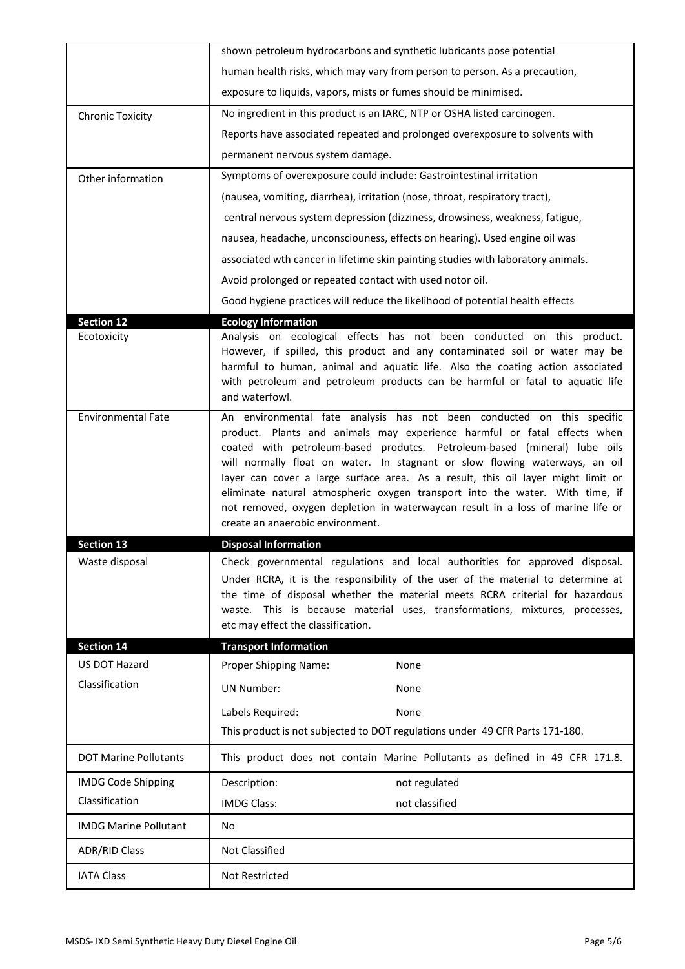|                              | shown petroleum hydrocarbons and synthetic lubricants pose potential                                                                                                                                                                                                                                                                                                                                                                                                                                                                                                                                      |
|------------------------------|-----------------------------------------------------------------------------------------------------------------------------------------------------------------------------------------------------------------------------------------------------------------------------------------------------------------------------------------------------------------------------------------------------------------------------------------------------------------------------------------------------------------------------------------------------------------------------------------------------------|
|                              | human health risks, which may vary from person to person. As a precaution,                                                                                                                                                                                                                                                                                                                                                                                                                                                                                                                                |
|                              | exposure to liquids, vapors, mists or fumes should be minimised.                                                                                                                                                                                                                                                                                                                                                                                                                                                                                                                                          |
| <b>Chronic Toxicity</b>      | No ingredient in this product is an IARC, NTP or OSHA listed carcinogen.                                                                                                                                                                                                                                                                                                                                                                                                                                                                                                                                  |
|                              | Reports have associated repeated and prolonged overexposure to solvents with                                                                                                                                                                                                                                                                                                                                                                                                                                                                                                                              |
|                              | permanent nervous system damage.                                                                                                                                                                                                                                                                                                                                                                                                                                                                                                                                                                          |
| Other information            | Symptoms of overexposure could include: Gastrointestinal irritation                                                                                                                                                                                                                                                                                                                                                                                                                                                                                                                                       |
|                              | (nausea, vomiting, diarrhea), irritation (nose, throat, respiratory tract),                                                                                                                                                                                                                                                                                                                                                                                                                                                                                                                               |
|                              | central nervous system depression (dizziness, drowsiness, weakness, fatigue,                                                                                                                                                                                                                                                                                                                                                                                                                                                                                                                              |
|                              | nausea, headache, unconsciouness, effects on hearing). Used engine oil was                                                                                                                                                                                                                                                                                                                                                                                                                                                                                                                                |
|                              | associated wth cancer in lifetime skin painting studies with laboratory animals.                                                                                                                                                                                                                                                                                                                                                                                                                                                                                                                          |
|                              | Avoid prolonged or repeated contact with used notor oil.                                                                                                                                                                                                                                                                                                                                                                                                                                                                                                                                                  |
|                              | Good hygiene practices will reduce the likelihood of potential health effects                                                                                                                                                                                                                                                                                                                                                                                                                                                                                                                             |
| <b>Section 12</b>            | <b>Ecology Information</b>                                                                                                                                                                                                                                                                                                                                                                                                                                                                                                                                                                                |
| Ecotoxicity                  | Analysis on ecological effects has not been conducted on this product.<br>However, if spilled, this product and any contaminated soil or water may be<br>harmful to human, animal and aquatic life. Also the coating action associated<br>with petroleum and petroleum products can be harmful or fatal to aquatic life<br>and waterfowl.                                                                                                                                                                                                                                                                 |
| <b>Environmental Fate</b>    | An environmental fate analysis has not been conducted on this specific<br>product. Plants and animals may experience harmful or fatal effects when<br>coated with petroleum-based produtcs. Petroleum-based (mineral) lube oils<br>will normally float on water. In stagnant or slow flowing waterways, an oil<br>layer can cover a large surface area. As a result, this oil layer might limit or<br>eliminate natural atmospheric oxygen transport into the water. With time, if<br>not removed, oxygen depletion in waterwaycan result in a loss of marine life or<br>create an anaerobic environment. |
| <b>Section 13</b>            | <b>Disposal Information</b>                                                                                                                                                                                                                                                                                                                                                                                                                                                                                                                                                                               |
| Waste disposal               | Check governmental regulations and local authorities for approved disposal.<br>Under RCRA, it is the responsibility of the user of the material to determine at<br>the time of disposal whether the material meets RCRA criterial for hazardous<br>waste. This is because material uses, transformations, mixtures, processes,<br>etc may effect the classification.                                                                                                                                                                                                                                      |
| <b>Section 14</b>            | <b>Transport Information</b>                                                                                                                                                                                                                                                                                                                                                                                                                                                                                                                                                                              |
| US DOT Hazard                | Proper Shipping Name:<br>None                                                                                                                                                                                                                                                                                                                                                                                                                                                                                                                                                                             |
| Classification               | <b>UN Number:</b><br>None                                                                                                                                                                                                                                                                                                                                                                                                                                                                                                                                                                                 |
|                              | Labels Required:<br>None                                                                                                                                                                                                                                                                                                                                                                                                                                                                                                                                                                                  |
|                              | This product is not subjected to DOT regulations under 49 CFR Parts 171-180.                                                                                                                                                                                                                                                                                                                                                                                                                                                                                                                              |
| <b>DOT Marine Pollutants</b> | This product does not contain Marine Pollutants as defined in 49 CFR 171.8.                                                                                                                                                                                                                                                                                                                                                                                                                                                                                                                               |
| <b>IMDG Code Shipping</b>    | Description:<br>not regulated                                                                                                                                                                                                                                                                                                                                                                                                                                                                                                                                                                             |
| Classification               | <b>IMDG Class:</b><br>not classified                                                                                                                                                                                                                                                                                                                                                                                                                                                                                                                                                                      |
| <b>IMDG Marine Pollutant</b> | <b>No</b>                                                                                                                                                                                                                                                                                                                                                                                                                                                                                                                                                                                                 |
| <b>ADR/RID Class</b>         | <b>Not Classified</b>                                                                                                                                                                                                                                                                                                                                                                                                                                                                                                                                                                                     |
| <b>IATA Class</b>            | <b>Not Restricted</b>                                                                                                                                                                                                                                                                                                                                                                                                                                                                                                                                                                                     |